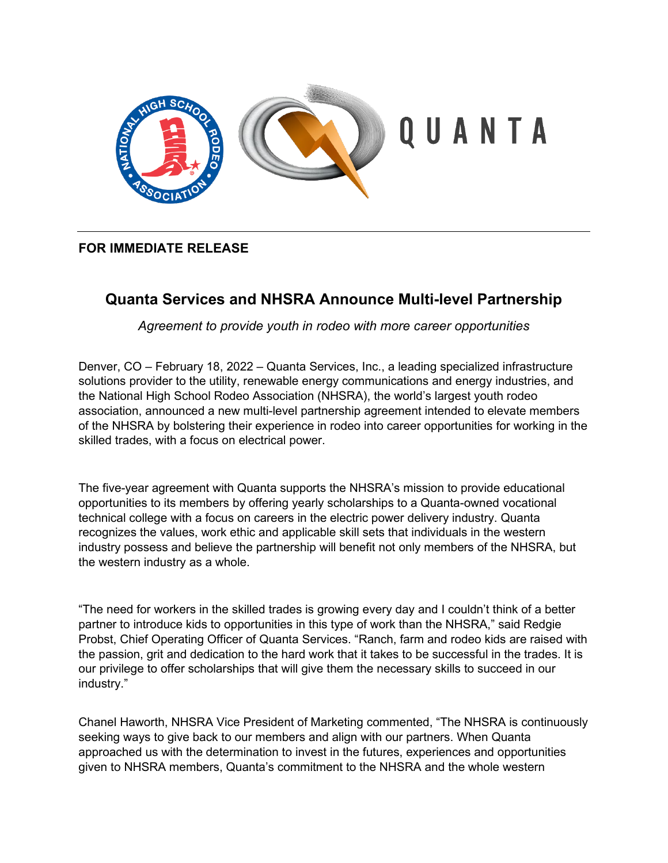

## **FOR IMMEDIATE RELEASE**

# **Quanta Services and NHSRA Announce Multi-level Partnership**

*Agreement to provide youth in rodeo with more career opportunities*

Denver, CO – February 18, 2022 – Quanta Services, Inc., a leading specialized infrastructure solutions provider to the utility, renewable energy communications and energy industries, and the National High School Rodeo Association (NHSRA), the world's largest youth rodeo association, announced a new multi-level partnership agreement intended to elevate members of the NHSRA by bolstering their experience in rodeo into career opportunities for working in the skilled trades, with a focus on electrical power.

The five-year agreement with Quanta supports the NHSRA's mission to provide educational opportunities to its members by offering yearly scholarships to a Quanta-owned vocational technical college with a focus on careers in the electric power delivery industry. Quanta recognizes the values, work ethic and applicable skill sets that individuals in the western industry possess and believe the partnership will benefit not only members of the NHSRA, but the western industry as a whole.

"The need for workers in the skilled trades is growing every day and I couldn't think of a better partner to introduce kids to opportunities in this type of work than the NHSRA," said Redgie Probst, Chief Operating Officer of Quanta Services. "Ranch, farm and rodeo kids are raised with the passion, grit and dedication to the hard work that it takes to be successful in the trades. It is our privilege to offer scholarships that will give them the necessary skills to succeed in our industry."

Chanel Haworth, NHSRA Vice President of Marketing commented, "The NHSRA is continuously seeking ways to give back to our members and align with our partners. When Quanta approached us with the determination to invest in the futures, experiences and opportunities given to NHSRA members, Quanta's commitment to the NHSRA and the whole western